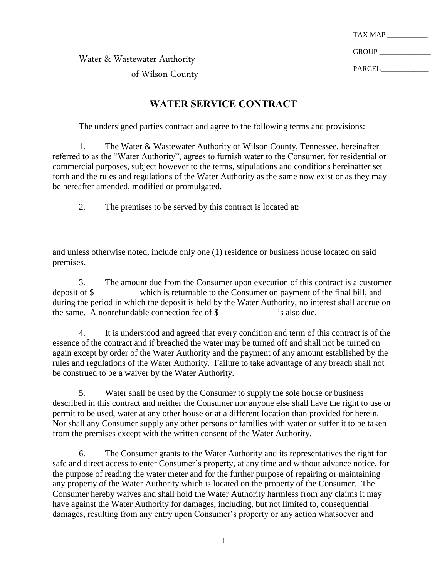TAX MAP GROUP **EXAMPLE** PARCEL

Water & Wastewater Authority

of Wilson County

## **WATER SERVICE CONTRACT**

The undersigned parties contract and agree to the following terms and provisions:

1. The Water & Wastewater Authority of Wilson County, Tennessee, hereinafter referred to as the "Water Authority", agrees to furnish water to the Consumer, for residential or commercial purposes, subject however to the terms, stipulations and conditions hereinafter set forth and the rules and regulations of the Water Authority as the same now exist or as they may be hereafter amended, modified or promulgated.

2. The premises to be served by this contract is located at:

and unless otherwise noted, include only one (1) residence or business house located on said premises.

3. The amount due from the Consumer upon execution of this contract is a customer deposit of \$\_\_\_\_\_\_\_\_\_\_ which is returnable to the Consumer on payment of the final bill, and during the period in which the deposit is held by the Water Authority, no interest shall accrue on the same. A nonrefundable connection fee of \$\_\_\_\_\_\_\_\_\_\_\_\_\_ is also due.

4. It is understood and agreed that every condition and term of this contract is of the essence of the contract and if breached the water may be turned off and shall not be turned on again except by order of the Water Authority and the payment of any amount established by the rules and regulations of the Water Authority. Failure to take advantage of any breach shall not be construed to be a waiver by the Water Authority.

5. Water shall be used by the Consumer to supply the sole house or business described in this contract and neither the Consumer nor anyone else shall have the right to use or permit to be used, water at any other house or at a different location than provided for herein. Nor shall any Consumer supply any other persons or families with water or suffer it to be taken from the premises except with the written consent of the Water Authority.

6. The Consumer grants to the Water Authority and its representatives the right for safe and direct access to enter Consumer's property, at any time and without advance notice, for the purpose of reading the water meter and for the further purpose of repairing or maintaining any property of the Water Authority which is located on the property of the Consumer. The Consumer hereby waives and shall hold the Water Authority harmless from any claims it may have against the Water Authority for damages, including, but not limited to, consequential damages, resulting from any entry upon Consumer's property or any action whatsoever and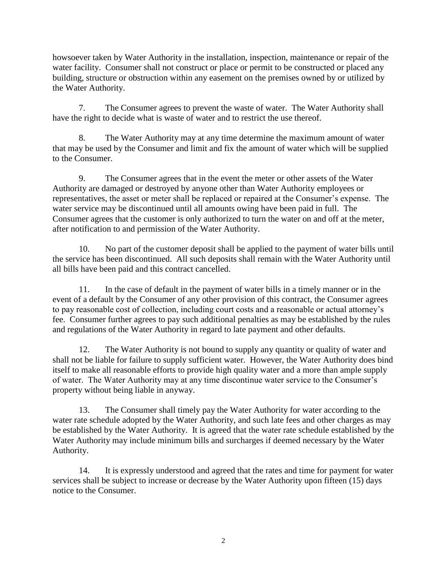howsoever taken by Water Authority in the installation, inspection, maintenance or repair of the water facility. Consumer shall not construct or place or permit to be constructed or placed any building, structure or obstruction within any easement on the premises owned by or utilized by the Water Authority.

7. The Consumer agrees to prevent the waste of water. The Water Authority shall have the right to decide what is waste of water and to restrict the use thereof.

8. The Water Authority may at any time determine the maximum amount of water that may be used by the Consumer and limit and fix the amount of water which will be supplied to the Consumer.

9. The Consumer agrees that in the event the meter or other assets of the Water Authority are damaged or destroyed by anyone other than Water Authority employees or representatives, the asset or meter shall be replaced or repaired at the Consumer's expense. The water service may be discontinued until all amounts owing have been paid in full. The Consumer agrees that the customer is only authorized to turn the water on and off at the meter, after notification to and permission of the Water Authority.

10. No part of the customer deposit shall be applied to the payment of water bills until the service has been discontinued. All such deposits shall remain with the Water Authority until all bills have been paid and this contract cancelled.

11. In the case of default in the payment of water bills in a timely manner or in the event of a default by the Consumer of any other provision of this contract, the Consumer agrees to pay reasonable cost of collection, including court costs and a reasonable or actual attorney's fee. Consumer further agrees to pay such additional penalties as may be established by the rules and regulations of the Water Authority in regard to late payment and other defaults.

12. The Water Authority is not bound to supply any quantity or quality of water and shall not be liable for failure to supply sufficient water. However, the Water Authority does bind itself to make all reasonable efforts to provide high quality water and a more than ample supply of water. The Water Authority may at any time discontinue water service to the Consumer's property without being liable in anyway.

13. The Consumer shall timely pay the Water Authority for water according to the water rate schedule adopted by the Water Authority, and such late fees and other charges as may be established by the Water Authority. It is agreed that the water rate schedule established by the Water Authority may include minimum bills and surcharges if deemed necessary by the Water Authority.

14. It is expressly understood and agreed that the rates and time for payment for water services shall be subject to increase or decrease by the Water Authority upon fifteen (15) days notice to the Consumer.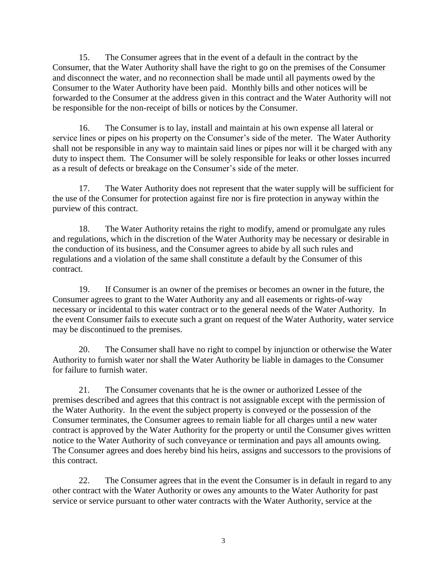15. The Consumer agrees that in the event of a default in the contract by the Consumer, that the Water Authority shall have the right to go on the premises of the Consumer and disconnect the water, and no reconnection shall be made until all payments owed by the Consumer to the Water Authority have been paid. Monthly bills and other notices will be forwarded to the Consumer at the address given in this contract and the Water Authority will not be responsible for the non-receipt of bills or notices by the Consumer.

16. The Consumer is to lay, install and maintain at his own expense all lateral or service lines or pipes on his property on the Consumer's side of the meter. The Water Authority shall not be responsible in any way to maintain said lines or pipes nor will it be charged with any duty to inspect them. The Consumer will be solely responsible for leaks or other losses incurred as a result of defects or breakage on the Consumer's side of the meter.

17. The Water Authority does not represent that the water supply will be sufficient for the use of the Consumer for protection against fire nor is fire protection in anyway within the purview of this contract.

18. The Water Authority retains the right to modify, amend or promulgate any rules and regulations, which in the discretion of the Water Authority may be necessary or desirable in the conduction of its business, and the Consumer agrees to abide by all such rules and regulations and a violation of the same shall constitute a default by the Consumer of this contract.

19. If Consumer is an owner of the premises or becomes an owner in the future, the Consumer agrees to grant to the Water Authority any and all easements or rights-of-way necessary or incidental to this water contract or to the general needs of the Water Authority. In the event Consumer fails to execute such a grant on request of the Water Authority, water service may be discontinued to the premises.

20. The Consumer shall have no right to compel by injunction or otherwise the Water Authority to furnish water nor shall the Water Authority be liable in damages to the Consumer for failure to furnish water.

21. The Consumer covenants that he is the owner or authorized Lessee of the premises described and agrees that this contract is not assignable except with the permission of the Water Authority. In the event the subject property is conveyed or the possession of the Consumer terminates, the Consumer agrees to remain liable for all charges until a new water contract is approved by the Water Authority for the property or until the Consumer gives written notice to the Water Authority of such conveyance or termination and pays all amounts owing. The Consumer agrees and does hereby bind his heirs, assigns and successors to the provisions of this contract.

22. The Consumer agrees that in the event the Consumer is in default in regard to any other contract with the Water Authority or owes any amounts to the Water Authority for past service or service pursuant to other water contracts with the Water Authority, service at the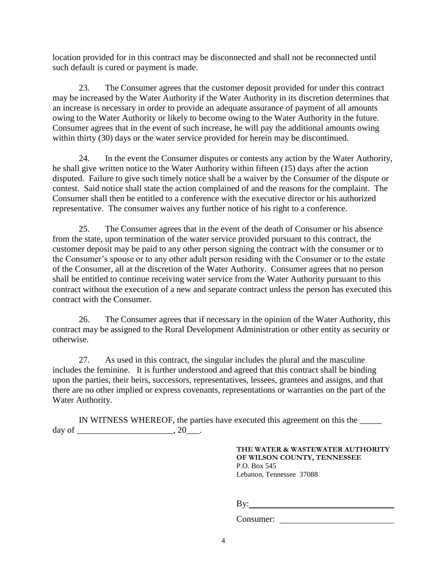location provided for in this contract may be disconnected and shall not be reconnected until such default is cured or payment is made.

23. The Consumer agrees that the customer deposit provided for under this contract may be increased by the Water Authority if the Water Authority in its discretion determines that an increase is necessary in order to provide an adequate assurance of payment of all amounts owing to the Water Authority or likely to become owing to the Water Authority in the future. Consumer agrees that in the event of such increase, he will pay the additional amounts owing within thirty (30) days or the water service provided for herein may be discontinued.

24. In the event the Consumer disputes or contests any action by the Water Authority, he shall give written notice to the Water Authority within fifteen (15) days after the action disputed. Failure to give such timely notice shall be a waiver by the Consumer of the dispute or contest. Said notice shall state the action complained of and the reasons for the complaint. The Consumer shall then be entitled to a conference with the executive director or his authorized representative. The consumer waives any further notice of his right to a conference.

25. The Consumer agrees that in the event of the death of Consumer or his absence from the state, upon termination of the water service provided pursuant to this contract, the customer deposit may be paid to any other person signing the contract with the consumer or to the Consumer's spouse or to any other adult person residing with the Consumer or to the estate of the Consumer, all at the discretion of the Water Authority. Consumer agrees that no person shall be entitled to continue receiving water service from the Water Authority pursuant to this contract without the execution of a new and separate contract unless the person has executed this contract with the Consumer.

26. The Consumer agrees that if necessary in the opinion of the Water Authority, this contract may be assigned to the Rural Development Administration or other entity as security or otherwise.

27. As used in this contract, the singular includes the plural and the masculine includes the feminine. It is further understood and agreed that this contract shall be binding upon the parties, their heirs, successors, representatives, lessees, grantees and assigns, and that there are no other implied or express covenants, representations or warranties on the part of the Water Authority.

IN WITNESS WHEREOF, the parties have executed this agreement on this the \_\_\_\_\_ day of \_\_\_\_\_\_\_\_\_\_\_\_\_\_\_\_\_\_\_\_\_\_\_, 20\_\_\_.

> **THE WATER & WASTEWATER AUTHORITY OF WILSON COUNTY, TENNESSEE** P.O. Box 545 Lebanon, Tennessee 37088

By:

Consumer: